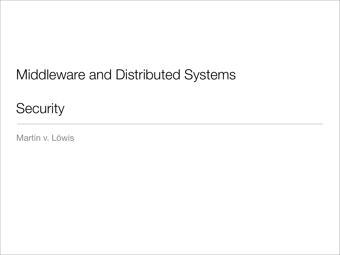## Middleware and Distributed Systems

**Security** 

Martin v. Löwis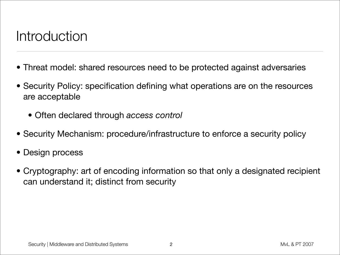## Introduction

- Threat model: shared resources need to be protected against adversaries
- Security Policy: specification defining what operations are on the resources are acceptable
	- Often declared through *access control*
- Security Mechanism: procedure/infrastructure to enforce a security policy
- Design process
- Cryptography: art of encoding information so that only a designated recipient can understand it; distinct from security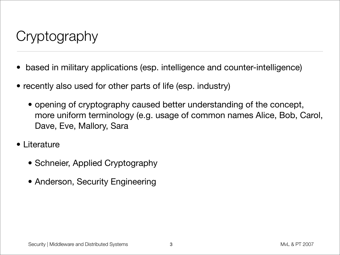## **Cryptography**

- based in military applications (esp. intelligence and counter-intelligence)
- recently also used for other parts of life (esp. industry)
	- opening of cryptography caused better understanding of the concept, more uniform terminology (e.g. usage of common names Alice, Bob, Carol, Dave, Eve, Mallory, Sara
- Literature
	- Schneier, Applied Cryptography
	- Anderson, Security Engineering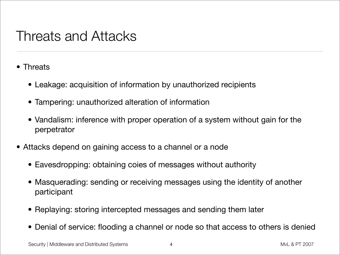### Threats and Attacks

- Threats
	- Leakage: acquisition of information by unauthorized recipients
	- Tampering: unauthorized alteration of information
	- Vandalism: inference with proper operation of a system without gain for the perpetrator
- Attacks depend on gaining access to a channel or a node
	- Eavesdropping: obtaining coies of messages without authority
	- Masquerading: sending or receiving messages using the identity of another participant
	- Replaying: storing intercepted messages and sending them later
	- Denial of service: flooding a channel or node so that access to others is denied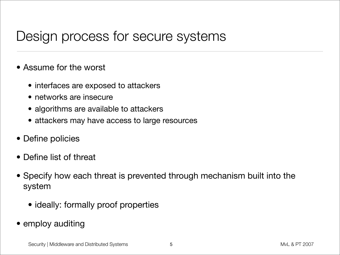### Design process for secure systems

- Assume for the worst
	- interfaces are exposed to attackers
	- networks are insecure
	- algorithms are available to attackers
	- attackers may have access to large resources
- Define policies
- Define list of threat
- Specify how each threat is prevented through mechanism built into the system
	- ideally: formally proof properties
- employ auditing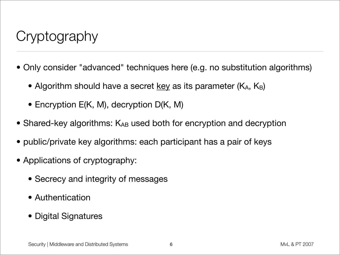## **Cryptography**

- Only consider "advanced" techniques here (e.g. no substitution algorithms)
	- Algorithm should have a secret key as its parameter  $(K_A, K_B)$
	- Encryption E(K, M), decryption D(K, M)
- Shared-key algorithms: KAB used both for encryption and decryption
- public/private key algorithms: each participant has a pair of keys
- Applications of cryptography:
	- Secrecy and integrity of messages
	- Authentication
	- Digital Signatures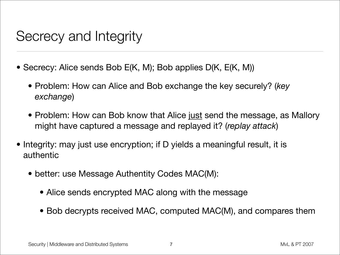### Secrecy and Integrity

- Secrecy: Alice sends Bob E(K, M); Bob applies D(K, E(K, M))
	- Problem: How can Alice and Bob exchange the key securely? (*key exchange*)
	- Problem: How can Bob know that Alice just send the message, as Mallory might have captured a message and replayed it? (*replay attack*)
- Integrity: may just use encryption; if D yields a meaningful result, it is authentic
	- better: use Message Authentity Codes MAC(M):
		- Alice sends encrypted MAC along with the message
		- Bob decrypts received MAC, computed MAC(M), and compares them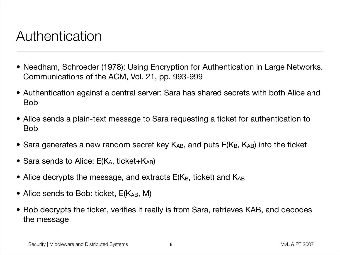### Authentication

- Needham, Schroeder (1978): Using Encryption for Authentication in Large Networks. Communications of the ACM, Vol. 21, pp. 993-999
- Authentication against a central server: Sara has shared secrets with both Alice and Bob
- Alice sends a plain-text message to Sara requesting a ticket for authentication to Bob
- Sara generates a new random secret key  $K_{AB}$ , and puts  $E(K_{B}, K_{AB})$  into the ticket
- Sara sends to Alice:  $E(K_A, t)$  ticket+ $K_{AB}$ )
- Alice decrypts the message, and extracts  $E(K_{B}, \text{ ticket})$  and  $K_{AB}$
- Alice sends to Bob: ticket,  $E(K_{AB}, M)$
- Bob decrypts the ticket, verifies it really is from Sara, retrieves KAB, and decodes the message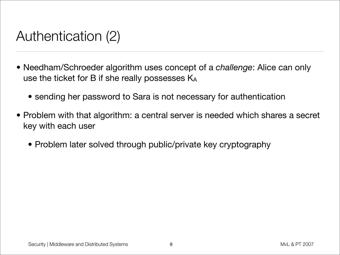## Authentication (2)

- Needham/Schroeder algorithm uses concept of a *challenge*: Alice can only use the ticket for B if she really possesses KA
	- sending her password to Sara is not necessary for authentication
- Problem with that algorithm: a central server is needed which shares a secret key with each user
	- Problem later solved through public/private key cryptography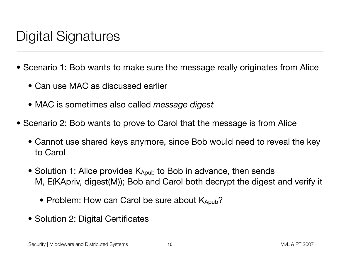## Digital Signatures

- Scenario 1: Bob wants to make sure the message really originates from Alice
	- Can use MAC as discussed earlier
	- MAC is sometimes also called *message digest*
- Scenario 2: Bob wants to prove to Carol that the message is from Alice
	- Cannot use shared keys anymore, since Bob would need to reveal the key to Carol
	- Solution 1: Alice provides K<sub>Apub</sub> to Bob in advance, then sends M, E(KApriv, digest(M)); Bob and Carol both decrypt the digest and verify it
		- Problem: How can Carol be sure about KApub?
	- Solution 2: Digital Certificates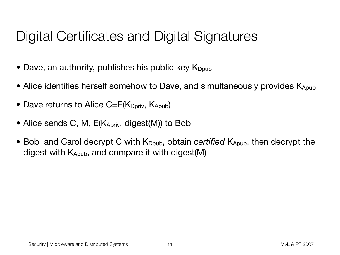## Digital Certificates and Digital Signatures

- Dave, an authority, publishes his public key  $K_{\text{Dpub}}$
- Alice identifies herself somehow to Dave, and simultaneously provides  $K_{Apub}$
- Dave returns to Alice  $C=E(K_{Dpriv}, K_{Apub})$
- Alice sends C, M, E(KApriv, digest(M)) to Bob
- Bob and Carol decrypt C with K<sub>Dpub</sub>, obtain *certified* K<sub>Apub</sub>, then decrypt the digest with KApub, and compare it with digest(M)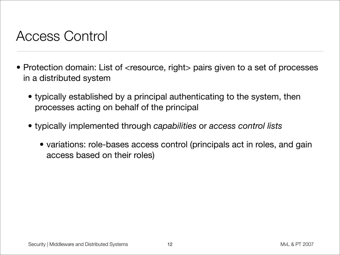### Access Control

- Protection domain: List of <resource, right> pairs given to a set of processes in a distributed system
	- typically established by a principal authenticating to the system, then processes acting on behalf of the principal
	- typically implemented through *capabilities* or *access control lists*
		- variations: role-bases access control (principals act in roles, and gain access based on their roles)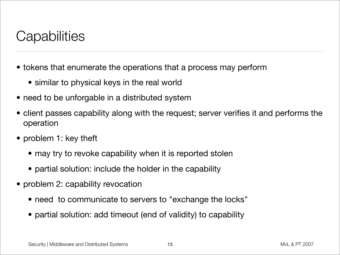## **Capabilities**

- tokens that enumerate the operations that a process may perform
	- similar to physical keys in the real world
- need to be unforgable in a distributed system
- client passes capability along with the request; server verifies it and performs the operation
- problem 1: key theft
	- may try to revoke capability when it is reported stolen
	- partial solution: include the holder in the capability
- problem 2: capability revocation
	- need to communicate to servers to "exchange the locks"
	- partial solution: add timeout (end of validity) to capability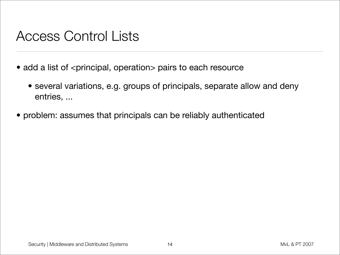### Access Control Lists

- add a list of <principal, operation> pairs to each resource
	- several variations, e.g. groups of principals, separate allow and deny entries, ...
- problem: assumes that principals can be reliably authenticated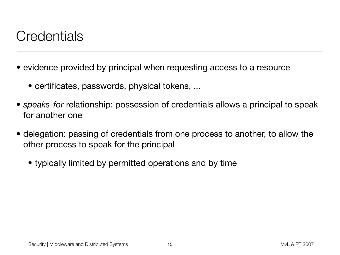## **Credentials**

- evidence provided by principal when requesting access to a resource
	- certificates, passwords, physical tokens, ...
- *• speaks-for* relationship: possession of credentials allows a principal to speak for another one
- delegation: passing of credentials from one process to another, to allow the other process to speak for the principal
	- *•* typically limited by permitted operations and by time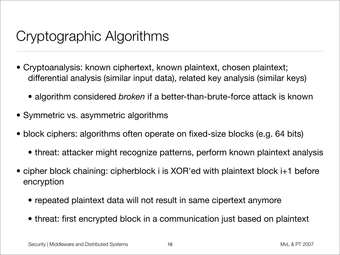## Cryptographic Algorithms

- Cryptoanalysis: known ciphertext, known plaintext, chosen plaintext; differential analysis (similar input data), related key analysis (similar keys)
	- algorithm considered *broken* if a better-than-brute-force attack is known
- Symmetric vs. asymmetric algorithms
- block ciphers: algorithms often operate on fixed-size blocks (e.g. 64 bits)
	- threat: attacker might recognize patterns, perform known plaintext analysis
- cipher block chaining: cipherblock i is XOR'ed with plaintext block i+1 before encryption
	- repeated plaintext data will not result in same cipertext anymore
	- threat: first encrypted block in a communication just based on plaintext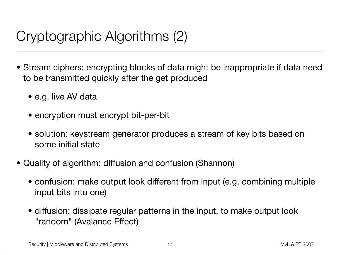# Cryptographic Algorithms (2)

- Stream ciphers: encrypting blocks of data might be inappropriate if data need to be transmitted quickly after the get produced
	- e.g. live AV data
	- encryption must encrypt bit-per-bit
	- solution: keystream generator produces a stream of key bits based on some initial state
- Quality of algorithm: diffusion and confusion (Shannon)
	- confusion: make output look different from input (e.g. combining multiple input bits into one)
	- diffusion: dissipate regular patterns in the input, to make output look "random" (Avalance Effect)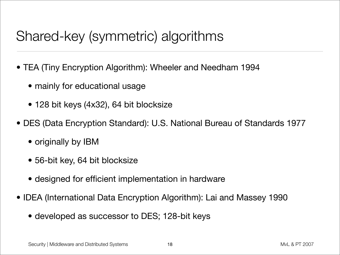## Shared-key (symmetric) algorithms

- TEA (Tiny Encryption Algorithm): Wheeler and Needham 1994
	- mainly for educational usage
	- 128 bit keys (4x32), 64 bit blocksize
- DES (Data Encryption Standard): U.S. National Bureau of Standards 1977
	- originally by IBM
	- 56-bit key, 64 bit blocksize
	- designed for efficient implementation in hardware
- IDEA (International Data Encryption Algorithm): Lai and Massey 1990
	- developed as successor to DES; 128-bit keys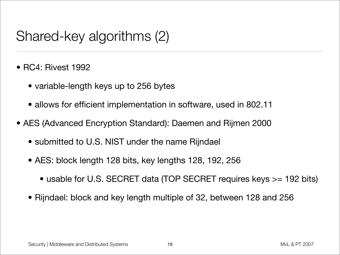## Shared-key algorithms (2)

- RC4: Rivest 1992
	- variable-length keys up to 256 bytes
	- allows for efficient implementation in software, used in 802.11
- AES (Advanced Encryption Standard): Daemen and Rijmen 2000
	- submitted to U.S. NIST under the name Rijndael
	- AES: block length 128 bits, key lengths 128, 192, 256
		- usable for U.S. SECRET data (TOP SECRET requires keys >= 192 bits)
	- Rijndael: block and key length multiple of 32, between 128 and 256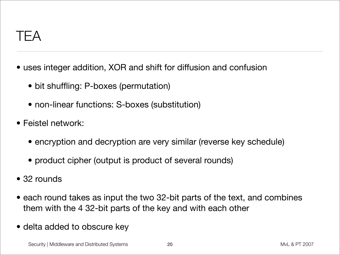$IFA$ 

- uses integer addition, XOR and shift for diffusion and confusion
	- bit shuffling: P-boxes (permutation)
	- non-linear functions: S-boxes (substitution)
- Feistel network:
	- encryption and decryption are very similar (reverse key schedule)
	- product cipher (output is product of several rounds)
- 32 rounds
- each round takes as input the two 32-bit parts of the text, and combines them with the 4 32-bit parts of the key and with each other
- delta added to obscure key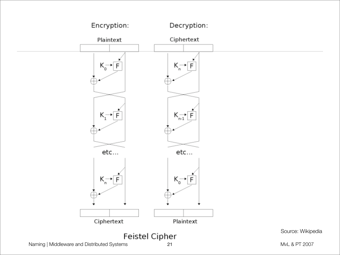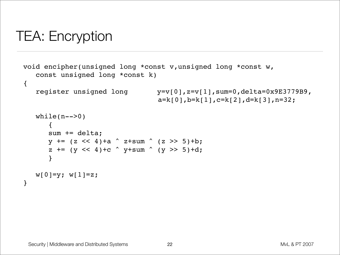## TEA: Encryption

```
void encipher(unsigned long *const v,unsigned long *const w,
    const unsigned long *const k)
\{ register unsigned long y=v[0],z=v[1],sum=0,delta=0x9E3779B9,
                                 a=k[0], b=k[1], c=k[2], d=k[3], n=32;while(n-->0) {
      sum += delta;
      y += (z << 4)+a \hat{ } z+sum (z >> 5)+b;
      z += (y \ll 4)+c \sim y+sum \sim (y \gg 5)+d;
       }
   w[0]=y; w[1]=z;}
```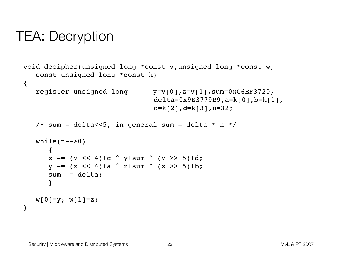## TEA: Decryption

```
void decipher(unsigned long *const v,unsigned long *const w,
    const unsigned long *const k)
{
    register unsigned long y=v[0],z=v[1],sum=0xC6EF3720,
                                 delta=0x9E3779B9,a=k[0],b=k[1],
                                 c=k[2], d=k[3], n=32;
   /* sum = delta<<5, in general sum = delta * n */
   while(n-->0)
 {
      z - (y << 4)+c \sim y+sum \sim (y >> 5)+d;
      y -= (z \ll 4) +a \sim z+sum \sim (z \gg 5) +b;
      sum -= delta;
       }
   w[0]=y; w[1]=z;}
```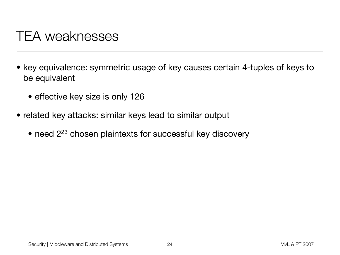### TEA weaknesses

- key equivalence: symmetric usage of key causes certain 4-tuples of keys to be equivalent
	- effective key size is only 126
- related key attacks: similar keys lead to similar output
	- need 2<sup>23</sup> chosen plaintexts for successful key discovery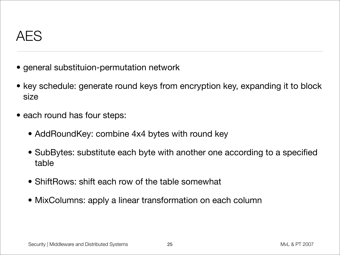- general substituion-permutation network
- key schedule: generate round keys from encryption key, expanding it to block size
- each round has four steps:
	- AddRoundKey: combine 4x4 bytes with round key
	- SubBytes: substitute each byte with another one according to a specified table
	- ShiftRows: shift each row of the table somewhat
	- MixColumns: apply a linear transformation on each column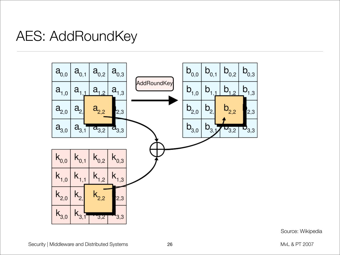## AES: AddRoundKey



Source: Wikipedia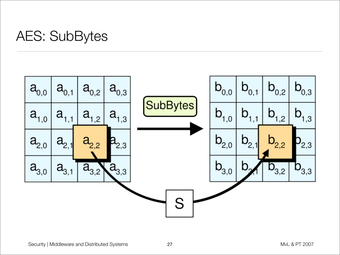## AES: SubBytes

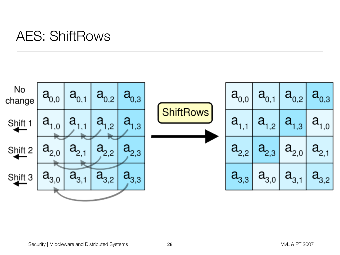## AES: ShiftRows

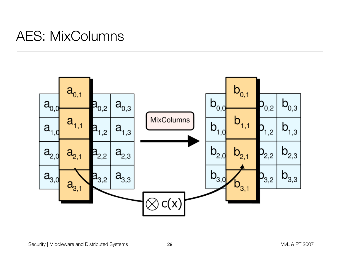## AES: MixColumns

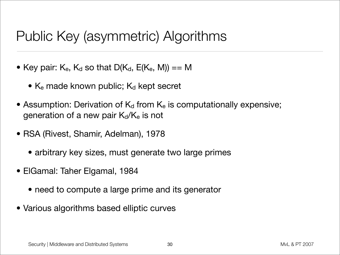## Public Key (asymmetric) Algorithms

- Key pair:  $K_e$ ,  $K_d$  so that  $D(K_d, E(K_e, M)) == M$ 
	- $K_e$  made known public;  $K_d$  kept secret
- Assumption: Derivation of  $K_d$  from  $K_e$  is computationally expensive; generation of a new pair  $K_d/K_e$  is not
- RSA (Rivest, Shamir, Adelman), 1978
	- arbitrary key sizes, must generate two large primes
- ElGamal: Taher Elgamal, 1984
	- need to compute a large prime and its generator
- Various algorithms based elliptic curves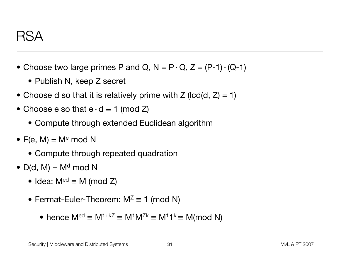- Choose two large primes P and Q,  $N = P \cdot Q$ ,  $Z = (P-1) \cdot (Q-1)$ 
	- Publish N, keep Z secret
- Choose d so that it is relatively prime with  $Z$  (lcd(d,  $Z$ ) = 1)
- Choose e so that  $e \cdot d \equiv 1 \pmod{Z}$ 
	- Compute through extended Euclidean algorithm
- E(e, M) =  $M<sup>e</sup>$  mod N
	- Compute through repeated quadration
- $D(d, M) = M<sup>d</sup> \text{ mod } N$ 
	- Idea:  $M^{ed} \equiv M \pmod{Z}$
	- Fermat-Euler-Theorem:  $M^Z \equiv 1 \pmod{N}$ 
		- hence  $M^{ed} \equiv M^{1+kZ} \equiv M^{1}M^{Zk} \equiv M^{1}M^{k} \equiv M (mod N)$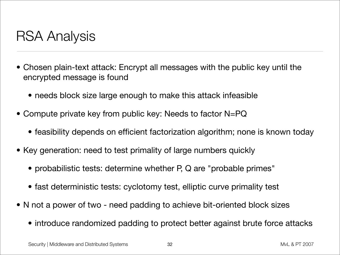## RSA Analysis

- Chosen plain-text attack: Encrypt all messages with the public key until the encrypted message is found
	- needs block size large enough to make this attack infeasible
- Compute private key from public key: Needs to factor N=PQ
	- feasibility depends on efficient factorization algorithm; none is known today
- Key generation: need to test primality of large numbers quickly
	- probabilistic tests: determine whether P, Q are "probable primes"
	- fast deterministic tests: cyclotomy test, elliptic curve primality test
- N not a power of two need padding to achieve bit-oriented block sizes
	- introduce randomized padding to protect better against brute force attacks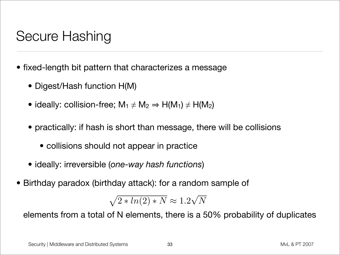## Secure Hashing

- fixed-length bit pattern that characterizes a message
	- Digest/Hash function H(M)
	- ideally: collision-free;  $M_1 \neq M_2 \Rightarrow H(M_1) \neq H(M_2)$
	- practically: if hash is short than message, there will be collisions
		- collisions should not appear in practice
	- ideally: irreversible (*one-way hash functions*)
- Birthday paradox (birthday attack): for a random sample of

$$
\sqrt{2 * ln(2) * N} \approx 1.2\sqrt{N}
$$
  
of N elements, there is a 5  
Systems 33

elements from a total of N elements, there is a 50% probability of duplicates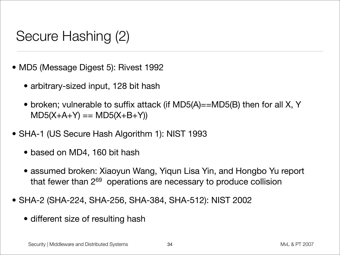## Secure Hashing (2)

- MD5 (Message Digest 5): Rivest 1992
	- arbitrary-sized input, 128 bit hash
	- broken; vulnerable to suffix attack (if MD5(A)==MD5(B) then for all X, Y  $MD5(X+A+Y) == MD5(X+B+Y)$
- SHA-1 (US Secure Hash Algorithm 1): NIST 1993
	- based on MD4, 160 bit hash
	- assumed broken: Xiaoyun Wang, Yiqun Lisa Yin, and Hongbo Yu report that fewer than 2<sup>69</sup> operations are necessary to produce collision
- SHA-2 (SHA-224, SHA-256, SHA-384, SHA-512): NIST 2002
	- different size of resulting hash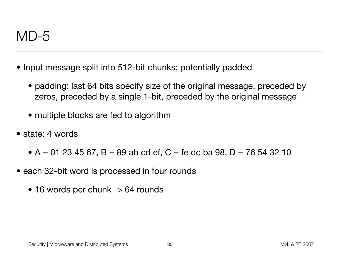### MD-5

- Input message split into 512-bit chunks; potentially padded
	- padding: last 64 bits specify size of the original message, preceded by zeros, preceded by a single 1-bit, preceded by the original message
	- multiple blocks are fed to algorithm
- state: 4 words
	- A = 01 23 45 67, B = 89 ab cd ef, C = fe dc ba 98, D = 76 54 32 10
- each 32-bit word is processed in four rounds
	- 16 words per chunk -> 64 rounds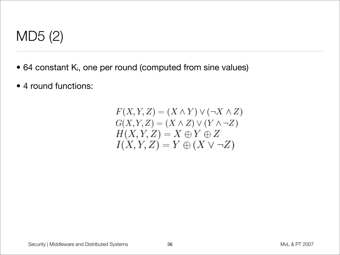

- 64 constant Ki, one per round (computed from sine values)
- 4 round functions:

$$
F(X, Y, Z) = (X \wedge Y) \vee (\neg X \wedge Z)
$$
  
\n
$$
G(X, Y, Z) = (X \wedge Z) \vee (Y \wedge \neg Z)
$$
  
\n
$$
H(X, Y, Z) = X \oplus Y \oplus Z
$$
  
\n
$$
I(X, Y, Z) = Y \oplus (X \vee \neg Z)
$$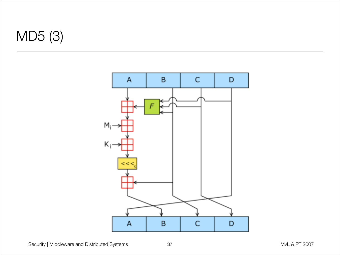# MD5 (3)

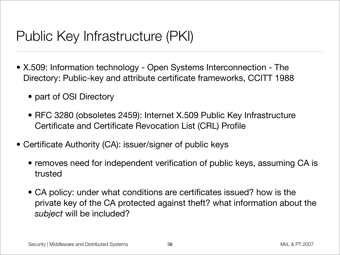## Public Key Infrastructure (PKI)

- X.509: Information technology Open Systems Interconnection The Directory: Public-key and attribute certificate frameworks, CCITT 1988
	- part of OSI Directory
	- RFC 3280 (obsoletes 2459): Internet X.509 Public Key Infrastructure Certificate and Certificate Revocation List (CRL) Profile
- Certificate Authority (CA): issuer/signer of public keys
	- removes need for independent verification of public keys, assuming CA is trusted
	- CA policy: under what conditions are certificates issued? how is the private key of the CA protected against theft? what information about the *subject* will be included?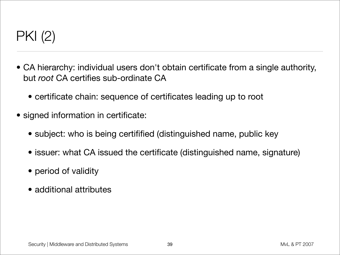# PKI (2)

- CA hierarchy: individual users don't obtain certificate from a single authority, but *root* CA certifies sub-ordinate CA
	- certificate chain: sequence of certificates leading up to root
- signed information in certificate:
	- subject: who is being certifified (distinguished name, public key
	- issuer: what CA issued the certificate (distinguished name, signature)
	- period of validity
	- additional attributes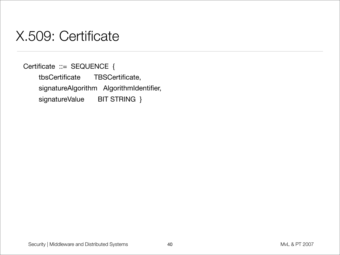### X.509: Certificate

Certificate ::= SEQUENCE { tbsCertificate TBSCertificate, signatureAlgorithm AlgorithmIdentifier, signatureValue BIT STRING }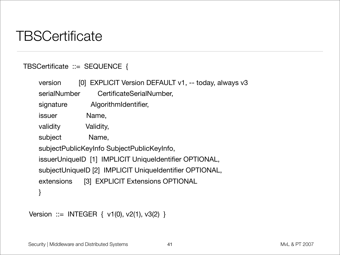## **TBSCertificate**

#### TBSCertificate ::= SEQUENCE {

|  | version                                                                                                                                                         | [0] EXPLICIT Version DEFAULT v1, -- today, always v3 |  |
|--|-----------------------------------------------------------------------------------------------------------------------------------------------------------------|------------------------------------------------------|--|
|  | serialNumber                                                                                                                                                    | CertificateSerialNumber,                             |  |
|  | signature                                                                                                                                                       | AlgorithmIdentifier,                                 |  |
|  | <i>issuer</i>                                                                                                                                                   | Name,                                                |  |
|  | validity                                                                                                                                                        | Validity,                                            |  |
|  | subject                                                                                                                                                         | Name,                                                |  |
|  | subjectPublicKeyInfo SubjectPublicKeyInfo,<br>issuerUniqueID [1] IMPLICIT UniqueIdentifier OPTIONAL,<br>subjectUniqueID [2] IMPLICIT UniqueIdentifier OPTIONAL, |                                                      |  |
|  |                                                                                                                                                                 |                                                      |  |
|  |                                                                                                                                                                 |                                                      |  |
|  | extensions                                                                                                                                                      | [3] EXPLICIT Extensions OPTIONAL                     |  |
|  |                                                                                                                                                                 |                                                      |  |
|  |                                                                                                                                                                 |                                                      |  |

```
Version ::= INTEGER { v1(0), v2(1), v3(2) }
```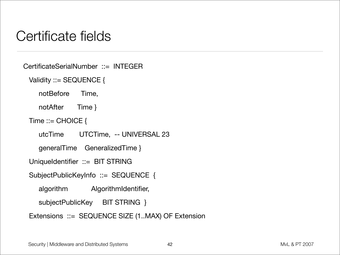## Certificate fields

CertificateSerialNumber ::= INTEGER

Validity ::= SEQUENCE {

notBefore Time,

notAfter Time }

Time  $::=$  CHOICE {

utcTime UTCTime, -- UNIVERSAL 23

generalTime GeneralizedTime }

UniqueIdentifier ::= BIT STRING

SubjectPublicKeyInfo ::= SEQUENCE {

algorithm AlgorithmIdentifier,

subjectPublicKey BIT STRING }

Extensions ::= SEQUENCE SIZE (1..MAX) OF Extension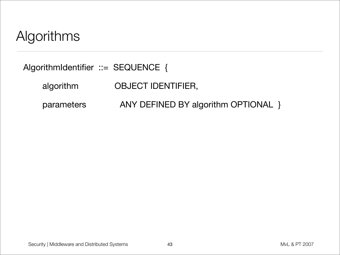## Algorithms

AlgorithmIdentifier ::= SEQUENCE {

algorithm OBJECT IDENTIFIER,

parameters ANY DEFINED BY algorithm OPTIONAL }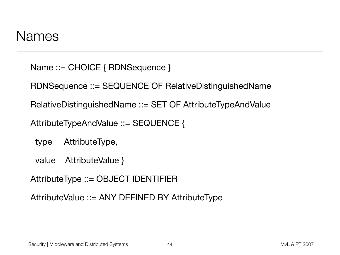### Names

Name ::= CHOICE { RDNSequence }

RDNSequence ::= SEQUENCE OF RelativeDistinguishedName

RelativeDistinguishedName ::= SET OF AttributeTypeAndValue

AttributeTypeAndValue ::= SEQUENCE {

type AttributeType,

value AttributeValue }

AttributeType ::= OBJECT IDENTIFIER

AttributeValue ::= ANY DEFINED BY AttributeType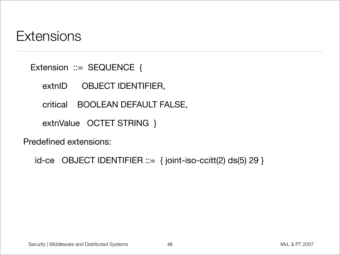### **Extensions**

Extension ::= SEQUENCE {

extnID OBJECT IDENTIFIER,

critical BOOLEAN DEFAULT FALSE,

extnValue OCTET STRING }

Predefined extensions:

```
id-ce OBJECT IDENTIFIER \cdots = \{ joint-iso\}-ccitt(2) ds(5) 29 \}
```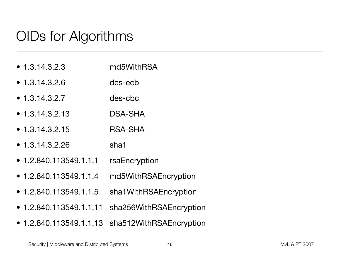## OIDs for Algorithms

- 1.3.14.3.2.3 md5WithRSA
- 1.3.14.3.2.6 des-ecb
- 1.3.14.3.2.7 des-cbc
- 1.3.14.3.2.13 DSA-SHA
- 1.3.14.3.2.15 RSA-SHA
- 1.3.14.3.2.26 sha1
- 1.2.840.113549.1.1.1 rsaEncryption
- 1.2.840.113549.1.1.4 md5WithRSAEncryption
- 1.2.840.113549.1.1.5 sha1WithRSAEncryption
- 1.2.840.113549.1.1.11 sha256WithRSAEncryption
- 1.2.840.113549.1.1.13 sha512WithRSAEncryption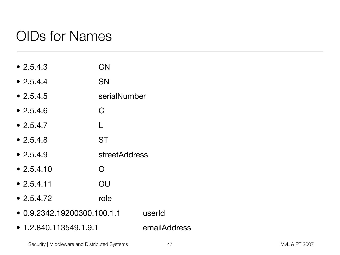## OIDs for Names

- 2.5.4.3 CN • 2.5.4.4 SN • 2.5.4.5 serialNumber • 2.5.4.6 C  $• 2.5.4.7$ • 2.5.4.8 ST • 2.5.4.9 streetAddress • 2.5.4.10 O • 2.5.4.11 OU • 2.5.4.72 role • 0.9.2342.19200300.100.1.1 userId
- 1.2.840.113549.1.9.1 emailAddress

Security | Middleware and Distributed Systems **MVL ACC 1999** 47 MVL & PT 2007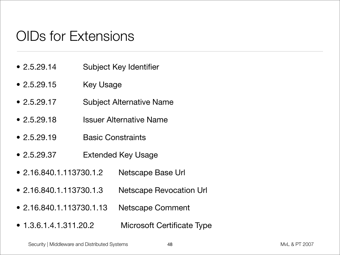## OIDs for Extensions

- 2.5.29.14 Subject Key Identifier
- 2.5.29.15 Key Usage
- 2.5.29.17 Subject Alternative Name
- 2.5.29.18 Issuer Alternative Name
- 2.5.29.19 Basic Constraints
- 2.5.29.37 Extended Key Usage
- 2.16.840.1.113730.1.2 Netscape Base Url
- 2.16.840.1.113730.1.3 Netscape Revocation Url
- 2.16.840.1.113730.1.13 Netscape Comment
- 1.3.6.1.4.1.311.20.2 Microsoft Certificate Type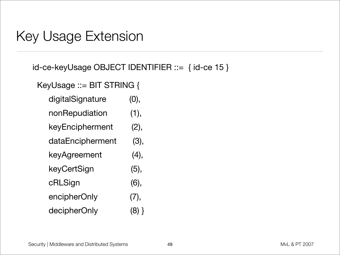### Key Usage Extension

id-ce-keyUsage OBJECT IDENTIFIER ::= { id-ce 15 }

KeyUsage ::= BIT STRING {

| digitalSignature | (0), |
|------------------|------|
|------------------|------|

- nonRepudiation (1),
- keyEncipherment (2),
- dataEncipherment (3),
- keyAgreement (4),
- keyCertSign (5),
- cRLSign (6),
- encipherOnly (7),
- decipherOnly (8) }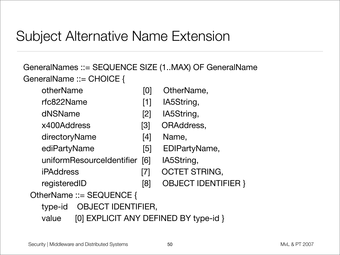## Subject Alternative Name Extension

### GeneralNames ::= SEQUENCE SIZE (1..MAX) OF GeneralName GeneralName ::= CHOICE {

- otherName [0] OtherName,
- rfc822Name [1] IA5String,
- dNSName [2] IA5String,
- x400Address [3] ORAddress,
- directoryName [4] Name,
- ediPartyName [5] EDIPartyName,
- uniformResourceIdentifier [6] IA5String,
- iPAddress [7] OCTET STRING,
- 
- registeredID [8] OBJECT IDENTIFIER }

### OtherName ::= SEQUENCE {

- type-id OBJECT IDENTIFIER,
- value [0] EXPLICIT ANY DEFINED BY type-id }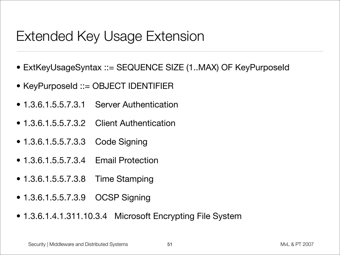## Extended Key Usage Extension

- ExtKeyUsageSyntax ::= SEQUENCE SIZE (1..MAX) OF KeyPurposeId
- KeyPurposeId ::= OBJECT IDENTIFIER
- 1.3.6.1.5.5.7.3.1 Server Authentication
- 1.3.6.1.5.5.7.3.2 Client Authentication
- 1.3.6.1.5.5.7.3.3 Code Signing
- 1.3.6.1.5.5.7.3.4 Email Protection
- 1.3.6.1.5.5.7.3.8 Time Stamping
- 1.3.6.1.5.5.7.3.9 OCSP Signing
- 1.3.6.1.4.1.311.10.3.4 Microsoft Encrypting File System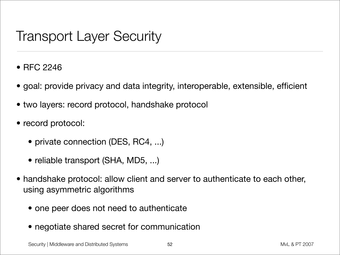## Transport Layer Security

- RFC 2246
- goal: provide privacy and data integrity, interoperable, extensible, efficient
- two layers: record protocol, handshake protocol
- record protocol:
	- private connection (DES, RC4, ...)
	- reliable transport (SHA, MD5, ...)
- handshake protocol: allow client and server to authenticate to each other, using asymmetric algorithms
	- one peer does not need to authenticate
	- negotiate shared secret for communication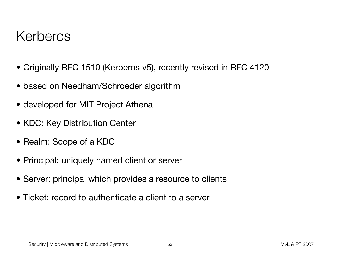### Kerberos

- Originally RFC 1510 (Kerberos v5), recently revised in RFC 4120
- based on Needham/Schroeder algorithm
- developed for MIT Project Athena
- KDC: Key Distribution Center
- Realm: Scope of a KDC
- Principal: uniquely named client or server
- Server: principal which provides a resource to clients
- Ticket: record to authenticate a client to a server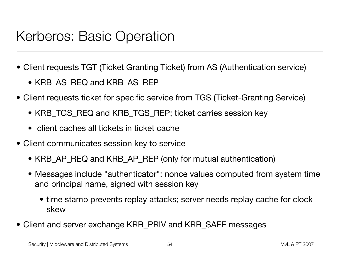### Kerberos: Basic Operation

- Client requests TGT (Ticket Granting Ticket) from AS (Authentication service)
	- KRB\_AS\_REQ and KRB\_AS\_REP
- Client requests ticket for specific service from TGS (Ticket-Granting Service)
	- KRB\_TGS\_REQ and KRB\_TGS\_REP; ticket carries session key
	- client caches all tickets in ticket cache
- Client communicates session key to service
	- KRB\_AP\_REQ and KRB\_AP\_REP (only for mutual authentication)
	- Messages include "authenticator": nonce values computed from system time and principal name, signed with session key
		- time stamp prevents replay attacks; server needs replay cache for clock skew
- Client and server exchange KRB\_PRIV and KRB\_SAFE messages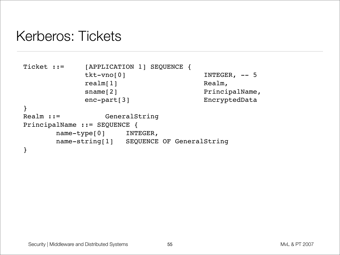### Kerberos: Tickets

```
Ticket ::= [APPLICATION 1] SEQUENCE {
           tkt-vno[0] INTEGER, -- 5
           realm[1] Realm,
           sname[2] PrincipalName,
           enc-part[3] EncryptedData
}
Realm ::= GeneralString
PrincipalName ::= SEQUENCE {
      name-type[0] INTEGER,
      name-string[1] SEQUENCE OF GeneralString
}
```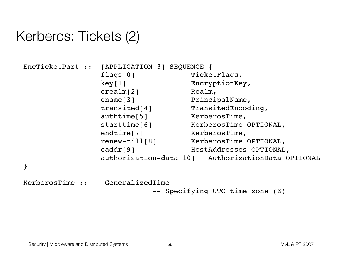## Kerberos: Tickets (2)

```
EncTicketPart ::= [APPLICATION 3] SEQUENCE {
              flags[0] TicketFlags,
              key[1] EncryptionKey,
              crealm[2] Realm,
              cname[3] PrincipalName,
              transited[4] TransitedEncoding,
              authtime[5] KerberosTime,
              starttime[6] KerberosTime OPTIONAL,
              endtime[7] KerberosTime,
               renew-till[8] KerberosTime OPTIONAL,
               caddr[9] HostAddresses OPTIONAL,
               authorization-data[10] AuthorizationData OPTIONAL
}
```
KerberosTime ::= GeneralizedTime -- Specifying UTC time zone (Z)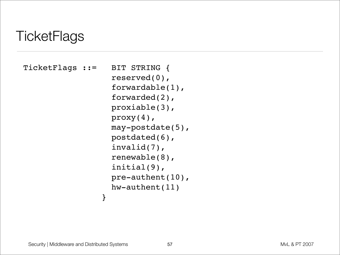## **TicketFlags**

```
TicketFlags ::= BIT STRING {
                   reserved(0),
                   forwardable(1),
                   forwarded(2),
                   proxiable(3),
                   proxy(4),
                   may-postdate(5),
                   postdated(6),
                   invalid(7),
                   renewable(8),
                   initial(9),
                   pre-authent(10),
                   hw-authent(11)
 }
```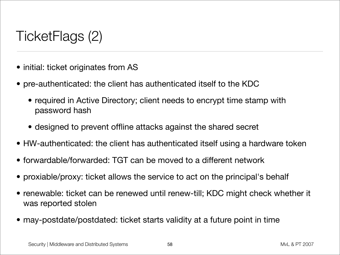## TicketFlags (2)

- initial: ticket originates from AS
- pre-authenticated: the client has authenticated itself to the KDC
	- required in Active Directory; client needs to encrypt time stamp with password hash
	- designed to prevent offline attacks against the shared secret
- HW-authenticated: the client has authenticated itself using a hardware token
- forwardable/forwarded: TGT can be moved to a different network
- proxiable/proxy: ticket allows the service to act on the principal's behalf
- renewable: ticket can be renewed until renew-till; KDC might check whether it was reported stolen
- may-postdate/postdated: ticket starts validity at a future point in time